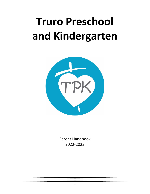# **Truro Preschool and Kindergarten**



Parent Handbook 2022-2023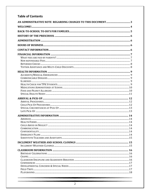#### **Table of Contents**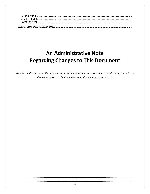|  | $\textsc{SnACKs/LuncH} \textit{} \textit{} \textit{} \textit{} \textit{} \textit{} \textit{} \textit{} \textit{} \textit{} \textit{} \textit{} \textit{} \textit{} \textit{} \textit{} \textit{} \textit{} \textit{} \textit{} \textit{} \textit{} \textit{} \textit{} \textit{} \textit{} \textit{} \textit{} \textit{} \textit{} \textit{} \textit{} \textit{} \textit{} \textit{$ |  |
|--|--------------------------------------------------------------------------------------------------------------------------------------------------------------------------------------------------------------------------------------------------------------------------------------------------------------------------------------------------------------------------------------|--|
|  |                                                                                                                                                                                                                                                                                                                                                                                      |  |

# <span id="page-2-0"></span>**An Administrative Note Regarding Changes to This Document**

An administrative note: the information in this handbook or on our website could change in order to stay compliant with health guidance and licensing requirements.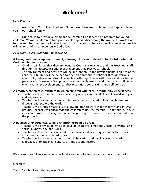# **Welcome!**

#### <span id="page-3-0"></span>Dear Parents:

Welcome to Truro Preschool and Kindergarten! We are so blessed and happy to have you in our school family.

Our goal is to provide a loving and welcoming Christ-centered program for young children. We want children to find joy in exploring and discovering the wonderful world God has created for them to live in. Our intent is that the atmosphere and environment we provide will invite children to experience God's love.

#### *As a staff we are committed to providing…*

#### A loving and nurturing environment, allowing children to develop to the full potential God has planned for them.

- Children will know that they are loved by God, their teachers, and the Preschool staff through the acceptance and encouragement they receive at school.
- The environment and activities will be appropriate to the developmental abilities of the children. Children will be helped to develop appropriate behavior through various means of guidance and discipline such as offering choices within safe and teacher-led parameters. Conscious Discipline is used in the classroom and uses daily conflicts to teach character development, conflict resolution, social skills, and self-control.

#### A creative, concrete curriculum in which children will learn through play experiences.

- Teachers will present activities in a variety of ways so that skills are learned with joy and eagerness.
- Teachers will create hands-on learning experiences that stimulate the children to discover and explore the world.
- Teachers will arrange materials to allow children to work independently and in small groups. Teachers will encourage the children to use the materials to try out their new ideas and problem-solving methods, recognizing this process is more important than the product.

#### A balance of experiences to help children grow in all areas.

- Teachers will provide activities to develop cognitive, emotional, social, physical, and spiritual knowledge and skills.
- Teachers will create daily schedules that have a balance of quiet and active times, structured and unstructured times.
- Teachers will use thematic units that will be varied and involve science, math, language, dramatic play, culture, art, music, and history.

We are so grateful we can serve your family and look forward to a great year together!

Sincerely,

Truro Preschool and Kindergarten Staff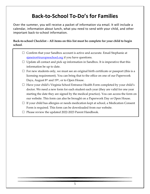# **Back-to-School To-Do's for Families**

<span id="page-4-0"></span>Over the summer, you will receive a packet of information via email. It will include a calendar, information about lunch, what you need to send with your child, and other important back-to-school information.

**Back-to-school Checklist – All items on this list must be complete for your child to begin school**.

- $\Box$  Confirm that your Sandbox account is active and accurate. Email Stephanie at sianeiro@truropreschool.org if you have questions.
- $\Box$  Update all contact and pick up information in Sandbox. It is imperative that this information be up to date.
- $\Box$  For new students only, we must see an original birth certificate or passport (this is a licensing requirement). You can bring that to the office on one of our Paperwork Days, August  $8<sup>th</sup>$  and  $19<sup>th</sup>$ , or to Open House.
- $\Box$  Have your child's Virginia School Entrance Health Form completed by your child's doctor. We need a new form for each student each year (they are valid for one year starting the date they are signed by the medical practice). You can access the form on our website. This form can also be brought on a Paperwork Day or Open House.
- $\Box$  If your child has allergies or needs medication kept at school, a Medication Consent Form is required. This form can be downloaded from our website.
- $\Box$  Please review the updated 2022-2023 Parent Handbook.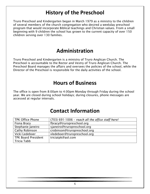# **History of the Preschool**

<span id="page-5-0"></span>Truro Preschool and Kindergarten began in March 1979 as a ministry to the children of several members of the church congregation who desired a weekday preschool program that would incorporate Biblical teachings and Christian values. From a small beginning with 9 children the school has grown to the current capacity of over 150 children serving over 130 families.

### **Administration**

<span id="page-5-1"></span>Truro Preschool and Kindergarten is a ministry of Truro Anglican Church. The Preschool is accountable to the Rector and Vestry of Truro Anglican Church. The Preschool Board manages the affairs and oversees the policies of the school, while the Director of the Preschool is responsible for the daily activities of the school.

### **Hours of Business**

<span id="page-5-2"></span>The office is open from 8:00am to 4:00pm Monday through Friday during the school year. We are closed during school holidays; during closures, phone messages are accessed at regular intervals.

### **Contact Information**

<span id="page-5-3"></span>

| <b>TPK Office Phone</b>    | $(703)$ 691-1006 - reach all the office staff here! |
|----------------------------|-----------------------------------------------------|
| Fiona Bracy                | fbracy@truropreschool.org                           |
| Stephanie Janeiro          | sjaneiro@truropreschool.org                         |
| <b>Cathy Robinson</b>      | crobinson@truropreschool.org                        |
| Vicki Ledeboer             | vledeboer@truropreschool.org                        |
| <b>TPK Board President</b> | triciatpk@aol.com                                   |
| Tricia Tabb                |                                                     |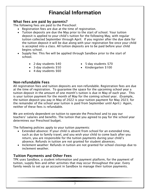# **Financial Information**

### <span id="page-6-1"></span><span id="page-6-0"></span>What fees are paid by parents?

The following fees are paid to the Preschool:

- Registration fees are due at the time of registration.
- Tuition deposits are due the May prior to the start of school. Your tuition deposit is applied to your child's tuition for the following May, with regular tuition collected September through April. If you register after the due date for the tuition deposit it will be due along with your registration fee once your child is accepted into a class. All tuition deposits are to be paid before your child begins school.
- Supply fee: This fee will be applied through Sandbox prior to the start of school.
	- 2-day students \$40
	- 3-day students \$50
	- 4-day students \$60
- 5-day students \$70
- Kindergarten \$100

### <span id="page-6-2"></span>Non-refundable Fees

All registration fees and tuition deposits are non-refundable. Registration fees are due at the time of registration. To guarantee the space for the upcoming school year a tuition deposit in the amount of one month's tuition is due in May of each year. This is your tuition payment for the month of May for the coming school year. (Example, the tuition deposit you pay in May of 2022 is your tuition payment for May 2023; for the remainder of the school year tuition is paid from September until April.) Again, neither of these fees is refundable.

We are entirely dependent on tuition to operate the Preschool and to pay our teachers' salaries and benefits. The tuition that you agreed to pay for the school year determines our Preschool budget.

The following policies apply to your tuition payments:

- Extended absence: If your child is absent from school for an extended time, such as due to family travel, and you wish your child to come back after you return, you are responsible for the tuition payments during your child's absence. Refunds in tuition are not granted for student absences.
- Inclement weather: Refunds in tuition are not granted for school closings due to inclement weather.

### Tuition Payments and Other Fees

TPK uses Sandbox, a student information and payment platform, for the payment of tuition, supply fees and other activities that may occur throughout the year. Every family needs to set up an account in Sandbox to manage their tuition payments.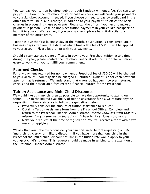You can pay your tuition by direct debit through Sandbox without a fee. You can also pay your tuition in the Preschool office by cash or check; we will credit your payments to your Sandbox account if needed. If you choose or need to pay by credit card in the office there will be a 3% surcharge, in addition to your payment, to offset the bank charges in processing these payments. Please call the office if you need to make a payment in person. Please do not place tuition payments in your child's backpack or hand it to your child's teacher; if you pay by check, please hand it directly to a member of the office team.

Tuition is due the first business day of the month. Your tuition is considered late 5 business days after your due date, at which time a late fee of \$35.00 will be applied to your account. Please be prompt with your payments.

Should circumstances create difficulty in paying your Preschool tuition at any time during the year, please contact the Preschool Financial Administrator. We will make every to work with you to fulfill your commitment.

#### <span id="page-7-0"></span>Returned Checks

For any payment returned for non-payment a Preschool fee of \$30.00 will be charged to your account. You may also be charged a Returned Payment Fee for each payment attempt that is returned. We understand that errors do happen; however, returned checks and their associated fees create a financial burden for the Preschool.

### <span id="page-7-1"></span>Tuition Assistance and Multi-Child Discounts

We would like as many children as possible to have the opportunity to attend our school. Due to the limited availability of tuition assistance funds, we require anyone requesting tuition assistance to follow the guidelines below:

- Prayerfully consider the amount of tuition assistance to request.
- Obtain a Tuition Assistance form from the Preschool Office. Complete and return to the Preschool Financial Administrator. *Please know and trust that any information you provide on these forms is held in the strictest confidence.*
- Make your request at the time of registration. You will receive a reply within two weeks of applying.

We ask that you prayerfully consider your financial need before requesting a 10% 'multi-child', clergy, or military discount. If you have more than one child in the Preschool the 'multi-child' discount of 10% in the tuition rate would apply to your youngest child's tuition. This request should be made in writing to the attention of the Preschool Finance Administrator.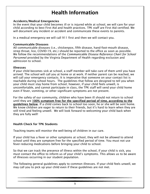# **Health Information**

#### <span id="page-8-1"></span><span id="page-8-0"></span>Accidents/Medical Emergencies

In the event that your child becomes ill or is injured while at school, we will care for your child according to best First Aid and health practices. TPK staff are First Aid certified. We will document any incident or accident and communicate these events to parents.

In a medical emergency we will call 911 first and then we will contact you.

#### <span id="page-8-2"></span>Communicable Diseases

All communicable diseases (i.e., chickenpox, fifth disease, hand-foot-mouth disease, strep throat, lice, COVID-19, etc.) should be reported to the office as soon as possible. We follow the recommendations of the *Communicable Disease Reference Chart for School Personnel* provided by the Virginia Department of Health regarding exclusion and admission to school.

#### <span id="page-8-3"></span>Illnesses

If your child becomes sick at school, a staff member will take care of them until you have arrived. The school will call you at home or at work. If neither parent can be reached, we will call your emergency contacts. It is imperative that someone on your contact list is reachable during school hours. The guidelines that follow are designed to tell you when your child must stay home from school; however, if your child feels unwell, is uncomfortable, and cannot participate in class, the TPK staff will send your child home even if fever, vomiting, or other significant symptoms are not present.

For the safety of our community, children who have been ill should not return to school until they are 100% symptom free for the specified period of time, according to the guidelines below. If a child comes back to school too soon, he or she will be sent home. We know children are eager to return to their friends, but it's hard to learn when they are still tired and feeling unwell. We will look forward to welcoming your child back when they are fully well!

#### <span id="page-8-4"></span>Health Check for TPK Students

Teaching teams will monitor the well-being of children in our care.

If your child has a fever or other symptoms at school, they will not be allowed to attend school until they are symptom free for the specified period of time. You must not use fever-reducing medications before bringing your child to school.

So that we can track the presence of illness within the school, if your child is sick, you must contact the office to inform us of your child's symptoms. This allows us to be aware of illnesses occurring in our student population.

The following general guidelines apply to common illnesses. If your child feels unwell, we may call you to pick up your child even if these guidelines are not met.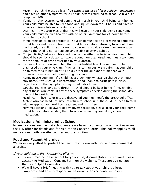- Fever Your child must be fever free *without the use of fever-reducing medication* and have no other symptoms for 24 hours before returning to school. A fever is a temp over 100.
- Vomiting Any occurrence of vomiting will result in your child being sent home. Your child must be able to keep food and liquids down for 24 hours and have no other symptoms before returning to school.
- Diarrhea Any occurrence of diarrhea will result in your child being sent home. Your child must be diarrhea free with no other symptoms for 24 hours before returning to school.
- Strep Infection or on an antibiotic Your child must be on a prescribed antibiotic for 24 hours and be symptom free for 24 hours before returning to school. If unmedicated, the child's health care provider must provide written documentation stating the child is not contagious and is able to attend school.
- Conjunctivitis/Pinkeye This condition can be either bacterial or viral. Your child should be seen by a doctor to have the condition diagnosed, and must stay home for the amount of time prescribed by your doctor.
- Rashes Any rash on your child that is unidentifiable will be required to be diagnosed by your physician. If the rash is contagious, we require that your child be treated for a minimum of 24 hours or for the amount of time that your physician prescribes before returning to school.
- Runny nose/coughing If a child has a green, gunky nasal discharge they must stay home. If your child is uncomfortable and unable to participate in class, regardless of other symptoms, they should stay home.
- Earache, red eyes, and sore throat A child should be kept home if they exhibit any of these symptoms. If any of these symptoms develop during the school day, they will be sent home.
- Head lice If live lice or nits are discovered you must notify the preschool office. A child who has head lice may not return to school until the child has been treated with an appropriate head lice treatment and is nit free.
- New medications Be aware of any adverse reaction, please keep your child home for 24 hours before sending them to school when they are taking a new medication.

### <span id="page-9-0"></span>Medications Administered at School

No medications are given at school unless we have documentation on file. Please see the TPK office for details and for Medication Consent Forms. This policy applies to all medications, both over-the-counter and prescription.

### <span id="page-9-1"></span>Food and Peanut Allergies

We make every effort to protect the health of children with food and environmental allergies.

#### *If your child has a life-threatening allergy:*

- To keep medication at school for your child, documentation is required. Please access the Medication Consent Form on the website. These are due no later than your Open House day.
- We will have a brief meeting with you to talk about your child's allergy, symptoms, and how to respond in the event of an accidental exposure.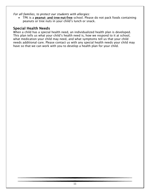*For all families, to protect our students with allergies:*

• TPK is a **peanut- and tree-nut-free** school. Please do not pack foods containing peanuts or tree nuts in your child's lunch or snack.

#### <span id="page-10-0"></span>Special Health Needs

When a child has a special health need, an individualized health plan is developed. This plan tells us what your child's health need is, how we respond to it at school, what medication your child may need, and what symptoms tell us that your child needs additional care. Please contact us with any special health needs your child may have so that we can work with you to develop a health plan for your child.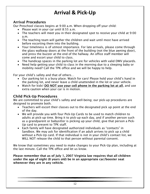# **Arrival & Pick-Up**

### <span id="page-11-1"></span><span id="page-11-0"></span>Arrival Procedures

Our Preschool classes begins at 9:00 a.m. When dropping off your child:

- Please wait in your car until 8:55 a.m.
- The teachers will meet you in their designated spot to receive your child at 9:00 a.m.
- The teaching team will gather the children and wait until most have arrived before escorting them into the building.
- Your timeliness is of utmost importance. For late arrivals, please come through the glass walkway doors at the front of the building (not the blue awning door), and press the buzzer at the end of the hallway. An office staff member will come and escort your child to class.
- The handicap spaces in the parking lot are for vehicles with valid DMV placards.
- Need help getting your child to class in the morning due to a sleeping baby or mobility need? Call the TPK office and we will be happy to help.

For your child's safety and that of others…

- Our parking lot is a busy place. Watch for cars! Please hold your child's hand in the parking lot, and never leave a child unattended in the lot or your vehicle.
- Watch for kids! DO NOT use your cell phone in the parking lot at all, and use extra caution when your car is in motion.

### <span id="page-11-2"></span>Child Pick-Up Procedures

We are committed to your child's safety and well-being; our pick-up procedures are designed to promote both.

- Teachers will escort their classes out to the designated pick up point at the end of the day.
- We will provide you with four Pick-Up Cards to be used to match children to adults at pick-up time. Bring it to pick-up each day, and if another person such as a grandparent or babysitter is picking up your child, give that person a Pick-Up card to present to TPK staff.
- Each family will have designated authorized individuals as "contacts" in Sandbox. We may ask for identification if an adult arrives to pick up a child without a Pick-Up card. If that individual is not in your child's contact list, we WILL NOT release the child to that person without parental consent.

We know that sometimes you need to make changes to your Pick-Up plan, including at the last minute. Call the TPK office and let us know.

Please remember that as of July 1, 2007 Virginia law requires that all children under the age of eight (8 years old) be in an appropriate car/booster seat whenever they are in any vehicle.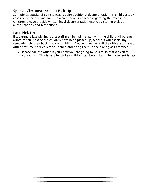### <span id="page-12-0"></span>Special Circumstances at Pick-Up

Sometimes special circumstances require additional documentation. In child custody cases or other circumstances in which there is concern regarding the release of children, please provide written legal documentation explicitly stating pick-up authorizations and restrictions.

### <span id="page-12-1"></span>Late Pick-Up

If a parent is late picking up, a staff member will remain with the child until parents arrive. When most of the children have been picked up, teachers will escort any remaining children back into the building. You will need to call the office and have an office staff member collect your child and bring them to the front glass entrance.

• Please call the office if you know you are going to be late so that we can tell your child. This is very helpful as children can be anxious when a parent is late.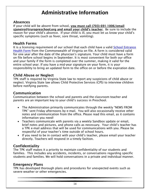# **Administrative Information**

#### <span id="page-13-1"></span><span id="page-13-0"></span>Absences

If your child will be absent from school, you must call (703) 691-1006/email sjaneiro@truropreschool.org and email your child's teacher. Be sure to include the reason for your child's absence. If your child is ill, you must let us know your child's specific symptoms (such as fever, sore throat, vomiting).

#### <span id="page-13-2"></span>Health Forms

It is a licensing requirement of our school that each child have a valid School Entrance [Health Form](https://truropreschool.org/wp-content/uploads/VA_school_entrance_form.pdf) from the Commonwealth of Virginia on file. A form is considered valid for one year after the date of the physician's signature. Your child must have a form on file before school begins in September. It is most convenient for both our office and your family if the form is completed over the summer, making it valid for the entire school year. If you have a mid-year signature on your form, it is your responsibility to bring an updated form to the office on or before the expiration date.

### <span id="page-13-3"></span>Child Abuse or Neglect

TPK staff is required by Virginia State law to report any suspicions of child abuse or neglect. Virginia State law allows Child Protective Services (CPS) to interview children before notifying parents.

#### <span id="page-13-4"></span>Communication

Communication between the school and parents and the classroom teacher and parents are an important key to your child's success in Preschool.

- The Administration primarily communicates through the weekly "NEWS FROM TPK" sent Friday afternoons by e-mail. You will also occasionally receive other notes and communication from the office. Please read this email, as it contains information you need!
- Teachers communicate with parents via a weekly Sandbox update or email, brief notes and pictures, and phone calls as necessary. Your child's teacher has a TPK e-mail address that will be used for communications with you. Please be respectful of your teacher's time outside of school hours.
- If you need to be in contact with your child's teacher, please email your teacher directly. Teachers will respond in a timely fashion.

### <span id="page-13-5"></span>Confidentiality

The TPK staff makes it a priority to maintain confidentiality of our students and families. This includes any accidents, incidents, or conversations regarding specific students and families. We will hold conversations in a private and individual manner.

#### <span id="page-13-6"></span>Emergency Plans

TPK has developed thorough plans and procedures for unexpected events such as severe weather or other emergencies.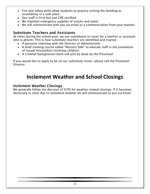- Fire and safety drills allow students to practice exiting the building or assembling in a safe place.
- Our staff is First Aid and CPR certified.
- We maintain emergency supplies of snacks and water.
- We will communicate with you via email or a communication from your teacher.

#### <span id="page-14-0"></span>Substitute Teachers and Assistants

At times during the school year, we use substitutes to cover for a teacher or assistant who is absent. This is how substitute teachers are identified and trained:

- A personal interview with the Director or Administrator.
- A brief training course called "Ministry Safe" to educate staff in the prevention of sexual misconduct involving children.
- A criminal background check will also be done by the Preschool.

If you would like to apply to be on our substitute roster, please call the Preschool Director.

### **Inclement Weather and School Closings**

#### <span id="page-14-2"></span><span id="page-14-1"></span>Inclement Weather Closings

We generally follow the decision of FCPS for weather related closings. If it becomes necessary to close due to inclement weather we will communicate to you via email.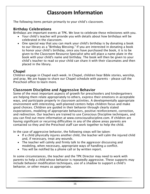# **Classroom Information**

<span id="page-15-0"></span>The following items pertain primarily to your child's classroom.

#### <span id="page-15-1"></span>Birthday Celebrations

Birthdays are important events at TPK. We love to celebrate these milestones with you.

- Your child's teacher will provide you with details about how birthdays will be celebrated in the classroom.
- One special way that you can mark your child's birthday is by donating a book to our library as a "Birthday Blessing." If you are interested in donating a book to honor your child's birthday, once you have purchased the book, it is to be given to the Classroom Resource Specialist who will place a name plate in the book with your child's name and birthday. The book will then be given to your child's teacher to read so your child can share it with their classmates and then placed in the library.

### <span id="page-15-2"></span>**Chapel**

Children engage in Chapel each week. In Chapel, children hear Bible stories, worship, and pray. We are happy to share our Chapel schedule with parents – please call the Preschool office to learn more.

#### <span id="page-15-3"></span>Classroom Discipline and Aggressive Behavior

Some of the most important aspects of growth for preschoolers and kindergartners are helping them relate appropriately to others, express their emotions in acceptable ways, and participate properly in classroom activities. A developmentally appropriate environment with interesting, well-planned centers helps children focus and make good choices. Children are guided in their behavior through clearly stated expectations, modeling of appropriate behaviors, positive reinforcement, correction, and redirection. Our teachers are trained to use Conscious Discipline techniques, and you can find out more information at www.consciousdiscipline.com. If children are having significant or recurring difficulties in any of the above areas parents are contacted so they and the Preschool staff can work together to help the child.

In the case of aggressive behavior, the following steps will be taken:

- If a child physically injures another child, the teacher will calm the injured child and, if necessary, treat any wounds.
- The teacher will calmly and firmly talk to the aggressor discussing and modeling, when necessary, appropriate ways of handling a conflict.
- You will be notified by a phone call or by written report.

In some circumstances, the teacher and the TPK Director may need to work with parents to help a child whose behavior is repeatedly aggressive. These supports may include behavior modification techniques, use of a shadow to support a child's behavior, or other means as appropriate.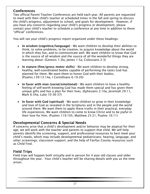### <span id="page-16-0"></span>**Conferences**

Two official Parent-Teacher Conferences are held each year. All parents are requested to meet with their child's teacher at scheduled times in the fall and spring to discuss the child's progress, adjustment to school, and goals for development. However, if you have any concerns regarding your child's progress or development, please contact your child's teacher to schedule a conference at any time in addition to these "official" conferences.

You will see your child's progress report organized under these headings:

- In wisdom (cognitive/language) We want children to develop their abilities to think, to solve problems, to be creative, to acquire knowledge about the world in which they live, and to communicate well. We want children to know that God is the source of all wisdom and the source of all the wonderful things they are learning about. (Genesis 1:3la, James 1:5a, Colossians 2:3)
- In stature (fine/gross motor skills) We want children to develop strong, healthy, well-coordinated bodies capable of performing the tasks God has planned for them. We want them to honor God with their bodies. (Psalms.139:13-14a, I Corinthians 6:19-20)
- In favor with man (social/emotional) We want children to have a healthy feeling of self-worth knowing God has made them special and has given them unique gifts and has a plan for their lives. (Ephesians 2:10a, Jeremiah 29:11, Mark 6:34a, Luke 10-36-37)
- In favor with God (spiritual) We want children to grow in their knowledge and love of God as revealed in the Scriptures and in the people and the world around them. We want them to apply these truths in their practical, everyday life experiences. We want children to come to know Christ and to be joyful in their love for Him. (Psalms 119:105, Matthew 25:21, Psalms 16:11)

### <span id="page-16-1"></span>Developmental Concerns & Special Needs

If concerns arise that a child's development and/or behavior may be atypical for their age, we will work with the teacher and parents to support that child. We will help parents identify the screening, support, and professional resources to best meet your child's needs, which may include developmental pediatricians; hearing, language, and other screenings; classroom support; and the help of Fairfax County resources such as Child Find.

### <span id="page-16-2"></span>Field Trips

Field trips will happen both virtually and in person for 4 year old classes and older throughout the year. Your child's teacher will be sharing details with you as the time arises.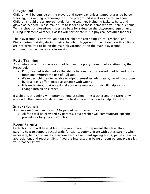### <span id="page-17-0"></span>Playground

Children will be outside on the playground every day unless temperatures go below freezing, it is raining or snowing, or if the playground is wet or covered in snow. Children should dress appropriately for the weather, including jackets, hats, and gloves as needed. Please make sure to label all of these items with your child's name. Tennis shoes or closed-toe shoes are best for safety on the playground equipment. During inclement weather, classes will participate in fun physical activities indoors.

The playground is only available for the children attending Truro Preschool and Kindergarten that day during their scheduled playground time. Parents with siblings are not permitted to be on the main playground or on the main playground equipment while classes are in session.

#### <span id="page-17-1"></span>Potty Training

*All children* in our 3's classes and older must be potty trained before attending the Preschool.

- Potty Trained is defined as the ability to consistently control bladder and bowel functions *without* the use of Pull-Ups.
- We expect children to be able to wipe themselves adequately; we will on a case by case basis offer limited assistance with wiping.
- It is understood that occasional accidents may occur. We will help a child change into clean clothes.

If a child is struggling with potty training at school, the teacher and the Director will work with the parents to determine the best course of action to help that child.

### <span id="page-17-2"></span>Snacks/Lunch

*All snack and lunch items must be peanut- and tree-nut-free.* 

• All food will be provided by parents. Your teacher will communicate specific procedures for your child's class.

#### <span id="page-17-3"></span>Room Parents

Each classroom will have at least one room parent to represent the class. Room parents help to support school wide functions, communicate with other parents when necessary, help coordinate classroom events like Thanksgiving feasts, parties, teacher appreciation, and teacher gifts. If you are interested in being a room parent, please let your teacher know.